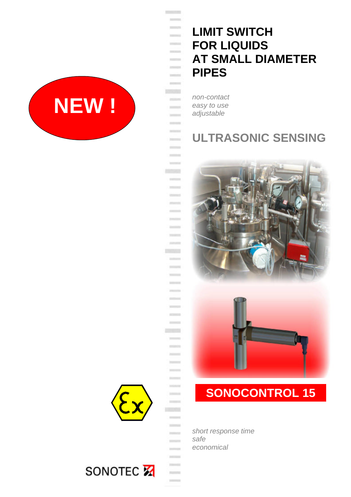

# **LIMIT SWITCH FOR LIQUIDS AT SMALL DIAMETER PIPES**

*non-contact easy to use adjustable*

**Controller**  $\frac{1}{2} \left( \frac{1}{2} \right) \left( \frac{1}{2} \right) \left( \frac{1}{2} \right) \left( \frac{1}{2} \right)$ **CONTRACTOR**  $\frac{1}{2} \left( \frac{1}{2} \right) \left( \frac{1}{2} \right) \left( \frac{1}{2} \right)$  $\frac{1}{2}$  $\frac{1}{2} \left( \frac{1}{2} \right) \left( \frac{1}{2} \right) \left( \frac{1}{2} \right)$  $\frac{1}{2} \left( \frac{1}{2} \right)^{2} \left( \frac{1}{2} \right)^{2} \left( \frac{1}{2} \right)^{2} \left( \frac{1}{2} \right)^{2} \left( \frac{1}{2} \right)^{2} \left( \frac{1}{2} \right)^{2} \left( \frac{1}{2} \right)^{2} \left( \frac{1}{2} \right)^{2} \left( \frac{1}{2} \right)^{2} \left( \frac{1}{2} \right)^{2} \left( \frac{1}{2} \right)^{2} \left( \frac{1}{2} \right)^{2} \left( \frac{1}{2} \right)^{2} \left( \frac$ **CONTRACTOR**  $\sim$  $\frac{1}{2}$ **DOGGER**  $\frac{1}{2} \left( \frac{1}{2} \right) \left( \frac{1}{2} \right) \left( \frac{1}{2} \right)$  $\frac{1}{2}$  $\frac{1}{2}$  $\sim$ **STATE**  $\frac{1}{2}$ - $\frac{1}{2}$ **COLLEGE**  $\frac{1}{2} \left( \frac{1}{2} \right) \left( \frac{1}{2} \right) \left( \frac{1}{2} \right)$  $\frac{1}{2}$ **CONTRACT**  $\frac{1}{2}$  $\frac{1}{2}$ **County**  $\frac{1}{2}$ -**DRAWN** - $\frac{1}{2}$ **Service College Cold**  $\frac{1}{2}$  $\sim$ **COLLEGE**  $\frac{1}{2}$ 

## **ULTRASONIC SENSING**



# **SONOCONTROL 15**

*short response time safe economical*



**COLLEGE COLLEGE**  $\frac{1}{2}$ 

> **College COLLEGE**

 $\frac{1}{2}$  $\frac{1}{2} \left( \frac{1}{2} \right)^{2} \left( \frac{1}{2} \right)^{2} \left( \frac{1}{2} \right)^{2} \left( \frac{1}{2} \right)^{2} \left( \frac{1}{2} \right)^{2} \left( \frac{1}{2} \right)^{2} \left( \frac{1}{2} \right)^{2} \left( \frac{1}{2} \right)^{2} \left( \frac{1}{2} \right)^{2} \left( \frac{1}{2} \right)^{2} \left( \frac{1}{2} \right)^{2} \left( \frac{1}{2} \right)^{2} \left( \frac{1}{2} \right)^{2} \left( \frac$ **Northern**  $\frac{1}{2}$  $\overline{\phantom{a}}$  $\frac{1}{2} \left( \frac{1}{2} \right) \left( \frac{1}{2} \right) \left( \frac{1}{2} \right)$ **HOLD**  $\qquad \qquad = \qquad$  $\frac{1}{2}$  $\mathcal{L}=\mathcal{L}$  $\frac{1}{2} \left( \frac{1}{2} \right) \left( \frac{1}{2} \right) \left( \frac{1}{2} \right) \left( \frac{1}{2} \right)$ - $\frac{1}{2} \left( \frac{1}{2} \right) \left( \frac{1}{2} \right) \left( \frac{1}{2} \right) \left( \frac{1}{2} \right) \left( \frac{1}{2} \right) \left( \frac{1}{2} \right) \left( \frac{1}{2} \right) \left( \frac{1}{2} \right) \left( \frac{1}{2} \right) \left( \frac{1}{2} \right) \left( \frac{1}{2} \right) \left( \frac{1}{2} \right) \left( \frac{1}{2} \right) \left( \frac{1}{2} \right) \left( \frac{1}{2} \right) \left( \frac{1}{2} \right) \left( \frac$  $\sim$